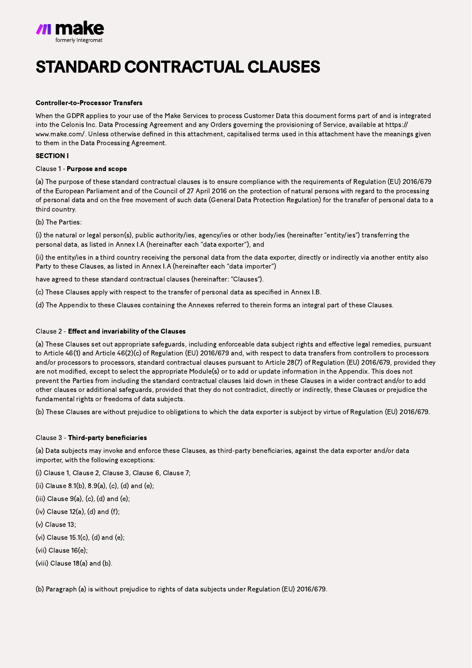

# STANDARD CONTRACTUAL CLAUSES

#### Controller-to-Processor Transfers

When the GDPR applies to your use of the Make Services to process Customer Data this document forms part of and is integrated into the Celonis Inc. Data Processing Agreement and any Orders governing the provisioning of Service, available at https:// www.make.com/. Unless otherwise defined in this attachment, capitalised terms used in this attachment have the meanings given to them in the Data Processing Agreement.

## SECTION I

#### Clause 1 - Purpose and scope

(a) The purpose of these standard contractual clauses is to ensure compliance with the requirements of Regulation (EU) 2016/679 of the European Parliament and of the Council of 27 April 2016 on the protection of natural persons with regard to the processing of personal data and on the free movement of such data (General Data Protection Regulation) for the transfer of personal data to a third country.

(b) The Parties:

(i) the natural or legal person(s), public authority/ies, agency/ies or other body/ies (hereinafter "entity/ies") transferring the personal data, as listed in Annex I.A (hereinafter each "data exporter"), and

(ii) the entity/ies in a third country receiving the personal data from the data exporter, directly or indirectly via another entity also Party to these Clauses, as listed in Annex I.A (hereinafter each "data importer")

have agreed to these standard contractual clauses (hereinafter: "Clauses").

(c) These Clauses apply with respect to the transfer of personal data as specified in Annex I.B.

(d) The Appendix to these Clauses containing the Annexes referred to therein forms an integral part of these Clauses.

### Clause 2 - Effect and invariability of the Clauses

(a) These Clauses set out appropriate safeguards, including enforceable data subject rights and effective legal remedies, pursuant to Article 46(1) and Article 46(2)(c) of Regulation (EU) 2016/679 and, with respect to data transfers from controllers to processors and/or processors to processors, standard contractual clauses pursuant to Article 28(7) of Regulation (EU) 2016/679, provided they are not modified, except to select the appropriate Module(s) or to add or update information in the Appendix. This does not prevent the Parties from including the standard contractual clauses laid down in these Clauses in a wider contract and/or to add other clauses or additional safeguards, provided that they do not contradict, directly or indirectly, these Clauses or prejudice the fundamental rights or freedoms of data subjects.

(b) These Clauses are without prejudice to obligations to which the data exporter is subject by virtue of Regulation (EU) 2016/679.

# Clause 3 - Third-party beneficiaries

(a) Data subjects may invoke and enforce these Clauses, as third-party beneficiaries, against the data exporter and/or data importer, with the following exceptions:

(i) Clause 1, Clause 2, Clause 3, Clause 6, Clause 7;

(ii) Clause 8.1(b), 8.9(a), (c), (d) and (e);

(iii) Clause  $9(a)$ , (c), (d) and (e);

(iv) Clause 12(a), (d) and (f);

(v) Clause 13;

(vi) Clause 15.1(c), (d) and (e);

(vii) Clause 16(e);

(viii) Clause 18(a) and (b).

(b) Paragraph (a) is without prejudice to rights of data subjects under Regulation (EU) 2016/679.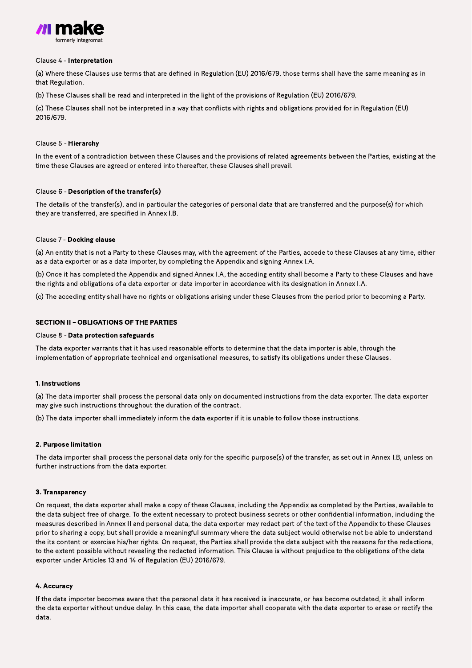

#### Clause 4 - Interpretation

(a) Where these Clauses use terms that are defined in Regulation (EU) 2016/679, those terms shall have the same meaning as in that Regulation.

(b) These Clauses shall be read and interpreted in the light of the provisions of Regulation (EU) 2016/679.

(c) These Clauses shall not be interpreted in a way that conflicts with rights and obligations provided for in Regulation (EU) 2016/679.

#### Clause 5 - Hierarchy

In the event of a contradiction between these Clauses and the provisions of related agreements between the Parties, existing at the time these Clauses are agreed or entered into thereafter, these Clauses shall prevail.

#### Clause 6 - Description of the transfer(s)

The details of the transfer(s), and in particular the categories of personal data that are transferred and the purpose(s) for which they are transferred, are specified in Annex I.B.

#### Clause 7 - Docking clause

(a) An entity that is not a Party to these Clauses may, with the agreement of the Parties, accede to these Clauses at any time, either as a data exporter or as a data importer, by completing the Appendix and signing Annex I.A.

(b) Once it has completed the Appendix and signed Annex I.A, the acceding entity shall become a Party to these Clauses and have the rights and obligations of a data exporter or data importer in accordance with its designation in Annex I.A.

(c) The acceding entity shall have no rights or obligations arising under these Clauses from the period prior to becoming a Party.

### SECTION II – OBLIGATIONS OF THE PARTIES

Clause 8 - Data protection safeguards

The data exporter warrants that it has used reasonable efforts to determine that the data importer is able, through the implementation of appropriate technical and organisational measures, to satisfy its obligations under these Clauses.

#### 1. Instructions

(a) The data importer shall process the personal data only on documented instructions from the data exporter. The data exporter may give such instructions throughout the duration of the contract.

(b) The data importer shall immediately inform the data exporter if it is unable to follow those instructions.

# 2. Purpose limitation

The data importer shall process the personal data only for the specific purpose(s) of the transfer, as set out in Annex I.B, unless on further instructions from the data exporter.

### 3. Transparency

On request, the data exporter shall make a copy of these Clauses, including the Appendix as completed by the Parties, available to the data subject free of charge. To the extent necessary to protect business secrets or other confidential information, including the measures described in Annex II and personal data, the data exporter may redact part of the text of the Appendix to these Clauses prior to sharing a copy, but shall provide a meaningful summary where the data subject would otherwise not be able to understand the its content or exercise his/her rights. On request, the Parties shall provide the data subject with the reasons for the redactions, to the extent possible without revealing the redacted information. This Clause is without prejudice to the obligations of the data exporter under Articles 13 and 14 of Regulation (EU) 2016/679.

#### 4. Accuracy

If the data importer becomes aware that the personal data it has received is inaccurate, or has become outdated, it shall inform the data exporter without undue delay. In this case, the data importer shall cooperate with the data exporter to erase or rectify the data.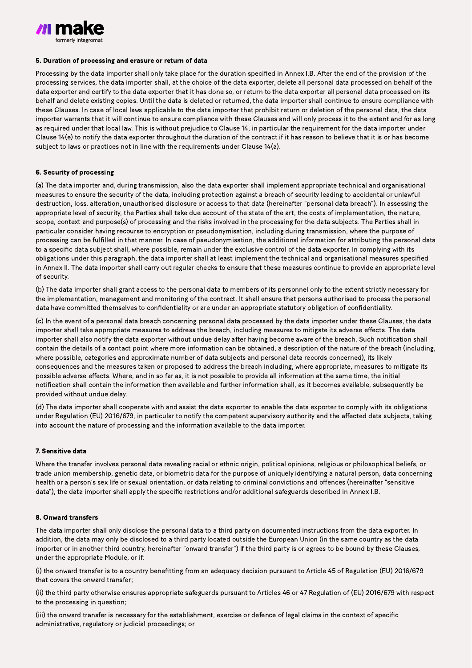

#### 5. Duration of processing and erasure or return of data

Processing by the data importer shall only take place for the duration specified in Annex I.B. After the end of the provision of the processing services, the data importer shall, at the choice of the data exporter, delete all personal data processed on behalf of the data exporter and certify to the data exporter that it has done so, or return to the data exporter all personal data processed on its behalf and delete existing copies. Until the data is deleted or returned, the data importer shall continue to ensure compliance with these Clauses. In case of local laws applicable to the data importer that prohibit return or deletion of the personal data, the data importer warrants that it will continue to ensure compliance with these Clauses and will only process it to the extent and for as long as required under that local law. This is without prejudice to Clause 14, in particular the requirement for the data importer under Clause 14(e) to notify the data exporter throughout the duration of the contract if it has reason to believe that it is or has become subject to laws or practices not in line with the requirements under Clause 14(a).

#### 6. Security of processing

(a) The data importer and, during transmission, also the data exporter shall implement appropriate technical and organisational measures to ensure the security of the data, including protection against a breach of security leading to accidental or unlawful destruction, loss, alteration, unauthorised disclosure or access to that data (hereinafter "personal data breach"). In assessing the appropriate level of security, the Parties shall take due account of the state of the art, the costs of implementation, the nature, scope, context and purpose(s) of processing and the risks involved in the processing for the data subjects. The Parties shall in particular consider having recourse to encryption or pseudonymisation, including during transmission, where the purpose of processing can be fulfilled in that manner. In case of pseudonymisation, the additional information for attributing the personal data to a specific data subject shall, where possible, remain under the exclusive control of the data exporter. In complying with its obligations under this paragraph, the data importer shall at least implement the technical and organisational measures specified in Annex II. The data importer shall carry out regular checks to ensure that these measures continue to provide an appropriate level of security.

(b) The data importer shall grant access to the personal data to members of its personnel only to the extent strictly necessary for the implementation, management and monitoring of the contract. It shall ensure that persons authorised to process the personal data have committed themselves to confidentiality or are under an appropriate statutory obligation of confidentiality.

(c) In the event of a personal data breach concerning personal data processed by the data importer under these Clauses, the data importer shall take appropriate measures to address the breach, including measures to mitigate its adverse effects. The data importer shall also notify the data exporter without undue delay after having become aware of the breach. Such notification shall contain the details of a contact point where more information can be obtained, a description of the nature of the breach (including, where possible, categories and approximate number of data subjects and personal data records concerned), its likely consequences and the measures taken or proposed to address the breach including, where appropriate, measures to mitigate its possible adverse effects. Where, and in so far as, it is not possible to provide all information at the same time, the initial notification shall contain the information then available and further information shall, as it becomes available, subsequently be provided without undue delay.

(d) The data importer shall cooperate with and assist the data exporter to enable the data exporter to comply with its obligations under Regulation (EU) 2016/679, in particular to notify the competent supervisory authority and the affected data subjects, taking into account the nature of processing and the information available to the data importer.

# 7. Sensitive data

Where the transfer involves personal data revealing racial or ethnic origin, political opinions, religious or philosophical beliefs, or trade union membership, genetic data, or biometric data for the purpose of uniquely identifying a natural person, data concerning health or a person's sex life or sexual orientation, or data relating to criminal convictions and offences (hereinafter "sensitive data"), the data importer shall apply the specific restrictions and/or additional safeguards described in Annex I.B.

## 8. Onward transfers

The data importer shall only disclose the personal data to a third party on documented instructions from the data exporter. In addition, the data may only be disclosed to a third party located outside the European Union (in the same country as the data importer or in another third country, hereinafter "onward transfer") if the third party is or agrees to be bound by these Clauses, under the appropriate Module, or if:

(i) the onward transfer is to a country benefitting from an adequacy decision pursuant to Article 45 of Regulation (EU) 2016/679 that covers the onward transfer;

(ii) the third party otherwise ensures appropriate safeguards pursuant to Articles 46 or 47 Regulation of (EU) 2016/679 with respect to the processing in question;

(iii) the onward transfer is necessary for the establishment, exercise or defence of legal claims in the context of specific administrative, regulatory or judicial proceedings; or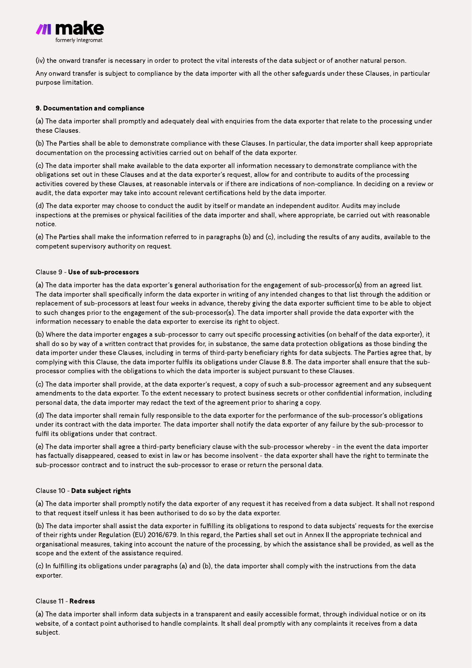

(iv) the onward transfer is necessary in order to protect the vital interests of the data subject or of another natural person.

Any onward transfer is subject to compliance by the data importer with all the other safeguards under these Clauses, in particular purpose limitation.

#### 9. Documentation and compliance

(a) The data importer shall promptly and adequately deal with enquiries from the data exporter that relate to the processing under these Clauses.

(b) The Parties shall be able to demonstrate compliance with these Clauses. In particular, the data importer shall keep appropriate documentation on the processing activities carried out on behalf of the data exporter.

(c) The data importer shall make available to the data exporter all information necessary to demonstrate compliance with the obligations set out in these Clauses and at the data exporter's request, allow for and contribute to audits of the processing activities covered by these Clauses, at reasonable intervals or if there are indications of non-compliance. In deciding on a review or audit, the data exporter may take into account relevant certifications held by the data importer.

(d) The data exporter may choose to conduct the audit by itself or mandate an independent auditor. Audits may include inspections at the premises or physical facilities of the data importer and shall, where appropriate, be carried out with reasonable notice.

(e) The Parties shall make the information referred to in paragraphs (b) and (c), including the results of any audits, available to the competent supervisory authority on request.

#### Clause 9 - Use of sub-processors

(a) The data importer has the data exporter's general authorisation for the engagement of sub-processor(s) from an agreed list. The data importer shall specifically inform the data exporter in writing of any intended changes to that list through the addition or replacement of sub-processors at least four weeks in advance, thereby giving the data exporter sufficient time to be able to object to such changes prior to the engagement of the sub-processor(s). The data importer shall provide the data exporter with the information necessary to enable the data exporter to exercise its right to object.

(b) Where the data importer engages a sub-processor to carry out specific processing activities (on behalf of the data exporter), it

shall do so by way of a written contract that provides for, in substance, the same data protection obligations as those binding the data importer under these Clauses, including in terms of third-party beneficiary rights for data subjects. The Parties agree that, by complying with this Clause, the data importer fulfils its obligations under Clause 8.8. The data importer shall ensure that the subprocessor complies with the obligations to which the data importer is subject pursuant to these Clauses.

(c) The data importer shall provide, at the data exporter's request, a copy of such a sub-processor agreement and any subsequent amendments to the data exporter. To the extent necessary to protect business secrets or other confidential information, including personal data, the data importer may redact the text of the agreement prior to sharing a copy.

(d) The data importer shall remain fully responsible to the data exporter for the performance of the sub-processor's obligations under its contract with the data importer. The data importer shall notify the data exporter of any failure by the sub-processor to fulfil its obligations under that contract.

(e) The data importer shall agree a third-party beneficiary clause with the sub-processor whereby - in the event the data importer has factually disappeared, ceased to exist in law or has become insolvent - the data exporter shall have the right to terminate the sub-processor contract and to instruct the sub-processor to erase or return the personal data.

#### Clause 10 - Data subject rights

(a) The data importer shall promptly notify the data exporter of any request it has received from a data subject. It shall not respond to that request itself unless it has been authorised to do so by the data exporter.

(b) The data importer shall assist the data exporter in fulfilling its obligations to respond to data subjects' requests for the exercise of their rights under Regulation (EU) 2016/679. In this regard, the Parties shall set out in Annex II the appropriate technical and organisational measures, taking into account the nature of the processing, by which the assistance shall be provided, as well as the scope and the extent of the assistance required.

(c) In fulfilling its obligations under paragraphs (a) and (b), the data importer shall comply with the instructions from the data exporter.

#### Clause 11 - Redress

(a) The data importer shall inform data subjects in a transparent and easily accessible format, through individual notice or on its website, of a contact point authorised to handle complaints. It shall deal promptly with any complaints it receives from a data subject.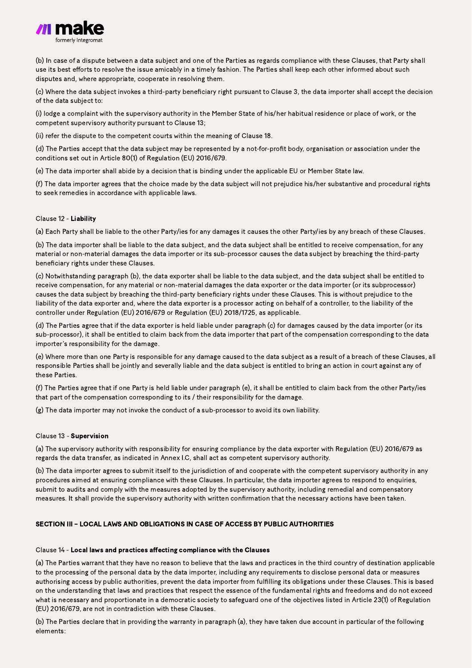

(b) In case of a dispute between a data subject and one of the Parties as regards compliance with these Clauses, that Party shall use its best efforts to resolve the issue amicably in a timely fashion. The Parties shall keep each other informed about such disputes and, where appropriate, cooperate in resolving them.

(c) Where the data subject invokes a third-party beneficiary right pursuant to Clause 3, the data importer shall accept the decision of the data subject to:

(i) lodge a complaint with the supervisory authority in the Member State of his/her habitual residence or place of work, or the competent supervisory authority pursuant to Clause 13;

(ii) refer the dispute to the competent courts within the meaning of Clause 18.

(d) The Parties accept that the data subject may be represented by a not-for-profit body, organisation or association under the conditions set out in Article 80(1) of Regulation (EU) 2016/679.

(e) The data importer shall abide by a decision that is binding under the applicable EU or Member State law.

(f) The data importer agrees that the choice made by the data subject will not prejudice his/her substantive and procedural rights to seek remedies in accordance with applicable laws.

### Clause 12 - Liability

(a) Each Party shall be liable to the other Party/ies for any damages it causes the other Party/ies by any breach of these Clauses.

(b) The data importer shall be liable to the data subject, and the data subject shall be entitled to receive compensation, for any material or non-material damages the data importer or its sub-processor causes the data subject by breaching the third-party beneficiary rights under these Clauses.

(c) Notwithstanding paragraph (b), the data exporter shall be liable to the data subject, and the data subject shall be entitled to receive compensation, for any material or non-material damages the data exporter or the data importer (or its subprocessor) causes the data subject by breaching the third-party beneficiary rights under these Clauses. This is without prejudice to the liability of the data exporter and, where the data exporter is a processor acting on behalf of a controller, to the liability of the controller under Regulation (EU) 2016/679 or Regulation (EU) 2018/1725, as applicable.

(d) The Parties agree that if the data exporter is held liable under paragraph (c) for damages caused by the data importer (or its sub-processor), it shall be entitled to claim back from the data importer that part of the compensation corresponding to the data importer's responsibility for the damage.

(e) Where more than one Party is responsible for any damage caused to the data subject as a result of a breach of these Clauses, all responsible Parties shall be jointly and severally liable and the data subject is entitled to bring an action in court against any of these Parties.

(f) The Parties agree that if one Party is held liable under paragraph (e), it shall be entitled to claim back from the other Party/ies that part of the compensation corresponding to its / their responsibility for the damage.

(g) The data importer may not invoke the conduct of a sub-processor to avoid its own liability.

### Clause 13 - Supervision

(a) The supervisory authority with responsibility for ensuring compliance by the data exporter with Regulation (EU) 2016/679 as regards the data transfer, as indicated in Annex I.C, shall act as competent supervisory authority.

(b) The data importer agrees to submit itself to the jurisdiction of and cooperate with the competent supervisory authority in any procedures aimed at ensuring compliance with these Clauses. In particular, the data importer agrees to respond to enquiries, submit to audits and comply with the measures adopted by the supervisory authority, including remedial and compensatory measures. It shall provide the supervisory authority with written confirmation that the necessary actions have been taken.

## SECTION III – LOCAL LAWS AND OBLIGATIONS IN CASE OF ACCESS BY PUBLIC AUTHORITIES

## Clause 14 - Local laws and practices affecting compliance with the Clauses

(a) The Parties warrant that they have no reason to believe that the laws and practices in the third country of destination applicable to the processing of the personal data by the data importer, including any requirements to disclose personal data or measures authorising access by public authorities, prevent the data importer from fulfilling its obligations under these Clauses. This is based on the understanding that laws and practices that respect the essence of the fundamental rights and freedoms and do not exceed what is necessary and proportionate in a democratic society to safeguard one of the objectives listed in Article 23(1) of Regulation (EU) 2016/679, are not in contradiction with these Clauses.

(b) The Parties declare that in providing the warranty in paragraph (a), they have taken due account in particular of the following elements: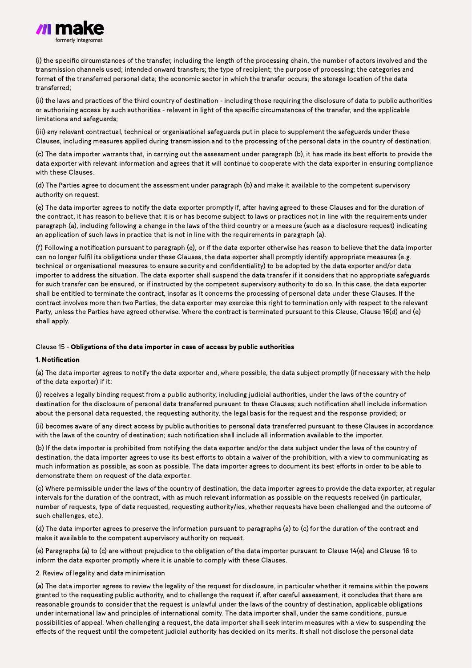

(i) the specific circumstances of the transfer, including the length of the processing chain, the number of actors involved and the transmission channels used; intended onward transfers; the type of recipient; the purpose of processing; the categories and format of the transferred personal data; the economic sector in which the transfer occurs; the storage location of the data transferred;

(ii) the laws and practices of the third country of destination - including those requiring the disclosure of data to public authorities or authorising access by such authorities - relevant in light of the specific circumstances of the transfer, and the applicable limitations and safeguards;

(iii) any relevant contractual, technical or organisational safeguards put in place to supplement the safeguards under these Clauses, including measures applied during transmission and to the processing of the personal data in the country of destination.

(c) The data importer warrants that, in carrying out the assessment under paragraph (b), it has made its best efforts to provide the data exporter with relevant information and agrees that it will continue to cooperate with the data exporter in ensuring compliance with these Clauses.

(d) The Parties agree to document the assessment under paragraph (b) and make it available to the competent supervisory authority on request.

(e) The data importer agrees to notify the data exporter promptly if, after having agreed to these Clauses and for the duration of the contract, it has reason to believe that it is or has become subject to laws or practices not in line with the requirements under paragraph (a), including following a change in the laws of the third country or a measure (such as a disclosure request) indicating an application of such laws in practice that is not in line with the requirements in paragraph (a).

(f) Following a notification pursuant to paragraph (e), or if the data exporter otherwise has reason to believe that the data importer can no longer fulfil its obligations under these Clauses, the data exporter shall promptly identify appropriate measures (e.g. technical or organisational measures to ensure security and confidentiality) to be adopted by the data exporter and/or data importer to address the situation. The data exporter shall suspend the data transfer if it considers that no appropriate safeguards for such transfer can be ensured, or if instructed by the competent supervisory authority to do so. In this case, the data exporter shall be entitled to terminate the contract, insofar as it concerns the processing of personal data under these Clauses. If the contract involves more than two Parties, the data exporter may exercise this right to termination only with respect to the relevant Party, unless the Parties have agreed otherwise. Where the contract is terminated pursuant to this Clause, Clause 16(d) and (e) shall apply.

#### Clause 15 - Obligations of the data importer in case of access by public authorities

# 1. Notification

(a) The data importer agrees to notify the data exporter and, where possible, the data subject promptly (if necessary with the help of the data exporter) if it:

(i) receives a legally binding request from a public authority, including judicial authorities, under the laws of the country of destination for the disclosure of personal data transferred pursuant to these Clauses; such notification shall include information about the personal data requested, the requesting authority, the legal basis for the request and the response provided; or

(ii) becomes aware of any direct access by public authorities to personal data transferred pursuant to these Clauses in accordance with the laws of the country of destination; such notification shall include all information available to the importer.

(b) If the data importer is prohibited from notifying the data exporter and/or the data subject under the laws of the country of destination, the data importer agrees to use its best efforts to obtain a waiver of the prohibition, with a view to communicating as much information as possible, as soon as possible. The data importer agrees to document its best efforts in order to be able to demonstrate them on request of the data exporter.

(c) Where permissible under the laws of the country of destination, the data importer agrees to provide the data exporter, at regular intervals for the duration of the contract, with as much relevant information as possible on the requests received (in particular, number of requests, type of data requested, requesting authority/ies, whether requests have been challenged and the outcome of such challenges, etc.).

(d) The data importer agrees to preserve the information pursuant to paragraphs (a) to (c) for the duration of the contract and make it available to the competent supervisory authority on request.

(e) Paragraphs (a) to (c) are without prejudice to the obligation of the data importer pursuant to Clause 14(e) and Clause 16 to inform the data exporter promptly where it is unable to comply with these Clauses.

2. Review of legality and data minimisation

(a) The data importer agrees to review the legality of the request for disclosure, in particular whether it remains within the powers granted to the requesting public authority, and to challenge the request if, after careful assessment, it concludes that there are reasonable grounds to consider that the request is unlawful under the laws of the country of destination, applicable obligations under international law and principles of international comity. The data importer shall, under the same conditions, pursue possibilities of appeal. When challenging a request, the data importer shall seek interim measures with a view to suspending the effects of the request until the competent judicial authority has decided on its merits. It shall not disclose the personal data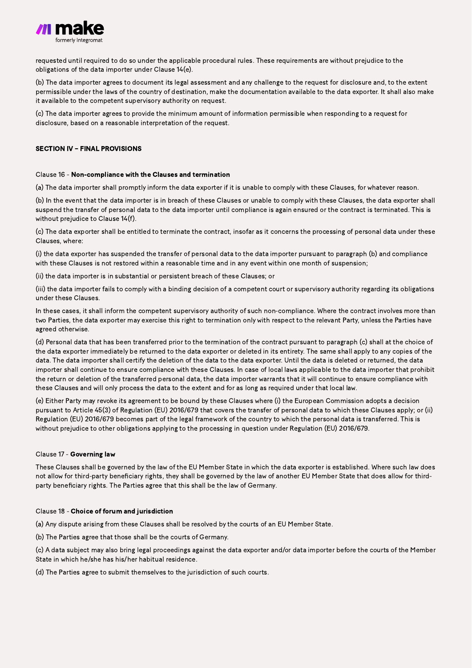

requested until required to do so under the applicable procedural rules. These requirements are without prejudice to the obligations of the data importer under Clause 14(e).

(b) The data importer agrees to document its legal assessment and any challenge to the request for disclosure and, to the extent permissible under the laws of the country of destination, make the documentation available to the data exporter. It shall also make it available to the competent supervisory authority on request.

(c) The data importer agrees to provide the minimum amount of information permissible when responding to a request for disclosure, based on a reasonable interpretation of the request.

## SECTION IV – FINAL PROVISIONS

#### Clause 16 - Non-compliance with the Clauses and termination

(a) The data importer shall promptly inform the data exporter if it is unable to comply with these Clauses, for whatever reason.

(b) In the event that the data importer is in breach of these Clauses or unable to comply with these Clauses, the data exporter shall suspend the transfer of personal data to the data importer until compliance is again ensured or the contract is terminated. This is without prejudice to Clause 14(f).

(c) The data exporter shall be entitled to terminate the contract, insofar as it concerns the processing of personal data under these Clauses, where:

(i) the data exporter has suspended the transfer of personal data to the data importer pursuant to paragraph (b) and compliance with these Clauses is not restored within a reasonable time and in any event within one month of suspension;

(ii) the data importer is in substantial or persistent breach of these Clauses; or

(iii) the data importer fails to comply with a binding decision of a competent court or supervisory authority regarding its obligations under these Clauses.

In these cases, it shall inform the competent supervisory authority of such non-compliance. Where the contract involves more than two Parties, the data exporter may exercise this right to termination only with respect to the relevant Party, unless the Parties have agreed otherwise.

(d) Personal data that has been transferred prior to the termination of the contract pursuant to paragraph (c) shall at the choice of

the data exporter immediately be returned to the data exporter or deleted in its entirety. The same shall apply to any copies of the data. The data importer shall certify the deletion of the data to the data exporter. Until the data is deleted or returned, the data importer shall continue to ensure compliance with these Clauses. In case of local laws applicable to the data importer that prohibit the return or deletion of the transferred personal data, the data importer warrants that it will continue to ensure compliance with these Clauses and will only process the data to the extent and for as long as required under that local law.

(e) Either Party may revoke its agreement to be bound by these Clauses where (i) the European Commission adopts a decision pursuant to Article 45(3) of Regulation (EU) 2016/679 that covers the transfer of personal data to which these Clauses apply; or (ii) Regulation (EU) 2016/679 becomes part of the legal framework of the country to which the personal data is transferred. This is without prejudice to other obligations applying to the processing in question under Regulation (EU) 2016/679.

### Clause 17 - Governing law

These Clauses shall be governed by the law of the EU Member State in which the data exporter is established. Where such law does not allow for third-party beneficiary rights, they shall be governed by the law of another EU Member State that does allow for thirdparty beneficiary rights. The Parties agree that this shall be the law of Germany.

## Clause 18 - Choice of forum and jurisdiction

(a) Any dispute arising from these Clauses shall be resolved by the courts of an EU Member State.

(b) The Parties agree that those shall be the courts of Germany.

(c) A data subject may also bring legal proceedings against the data exporter and/or data importer before the courts of the Member State in which he/she has his/her habitual residence.

(d) The Parties agree to submit themselves to the jurisdiction of such courts.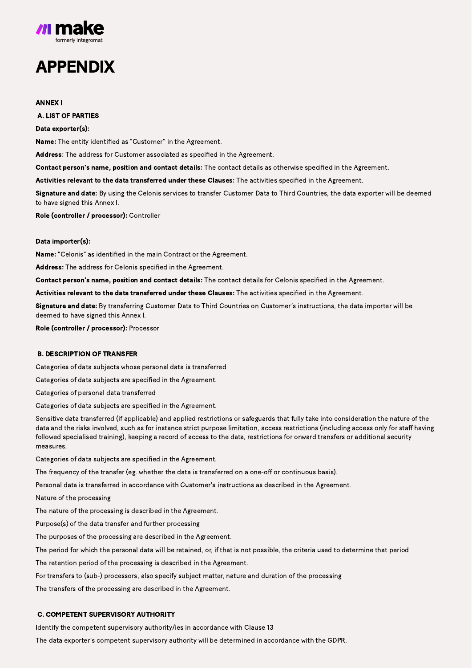ANNEX I

A. LIST OF PARTIES

Data exporter(s):

Name: The entity identified as "Customer" in the Agreement.

Address: The address for Customer associated as specified in the Agreement.

Contact person's name, position and contact details: The contact details as otherwise specified in the Agreement.

Activities relevant to the data transferred under these Clauses: The activities specified in the Agreement.

Signature and date: By using the Celonis services to transfer Customer Data to Third Countries, the data exporter will be deemed to have signed this Annex I.

Signature and date: By transferring Customer Data to Third Countries on Customer's instructions, the data importer will be deemed to have signed this Annex I.

Role (controller / processor): Controller

### Data importer(s):

Name: "Celonis" as identified in the main Contract or the Agreement.

Address: The address for Celonis specified in the Agreement.

Contact person's name, position and contact details: The contact details for Celonis specified in the Agreement.

Activities relevant to the data transferred under these Clauses: The activities specified in the Agreement.

Role (controller / processor): Processor

## B. DESCRIPTION OF TRANSFER

Categories of data subjects whose personal data is transferred

Categories of data subjects are specified in the Agreement.

Categories of personal data transferred

Categories of data subjects are specified in the Agreement.

Sensitive data transferred (if applicable) and applied restrictions or safeguards that fully take into consideration the nature of the data and the risks involved, such as for instance strict purpose limitation, access restrictions (including access only for staff having followed specialised training), keeping a record of access to the data, restrictions for onward transfers or additional security measures.

Categories of data subjects are specified in the Agreement.

The frequency of the transfer (eg. whether the data is transferred on a one-off or continuous basis).

Personal data is transferred in accordance with Customer's instructions as described in the Agreement.

Nature of the processing

The nature of the processing is described in the Agreement.

Purpose(s) of the data transfer and further processing

The purposes of the processing are described in the Agreement.

The period for which the personal data will be retained, or, if that is not possible, the criteria used to determine that period

The retention period of the processing is described in the Agreement.

For transfers to (sub-) processors, also specify subject matter, nature and duration of the processing

The transfers of the processing are described in the Agreement.

# C. COMPETENT SUPERVISORY AUTHORITY

Identify the competent supervisory authority/ies in accordance with Clause 13

The data exporter's competent supervisory authority will be determined in accordance with the GDPR.



# APPENDIX